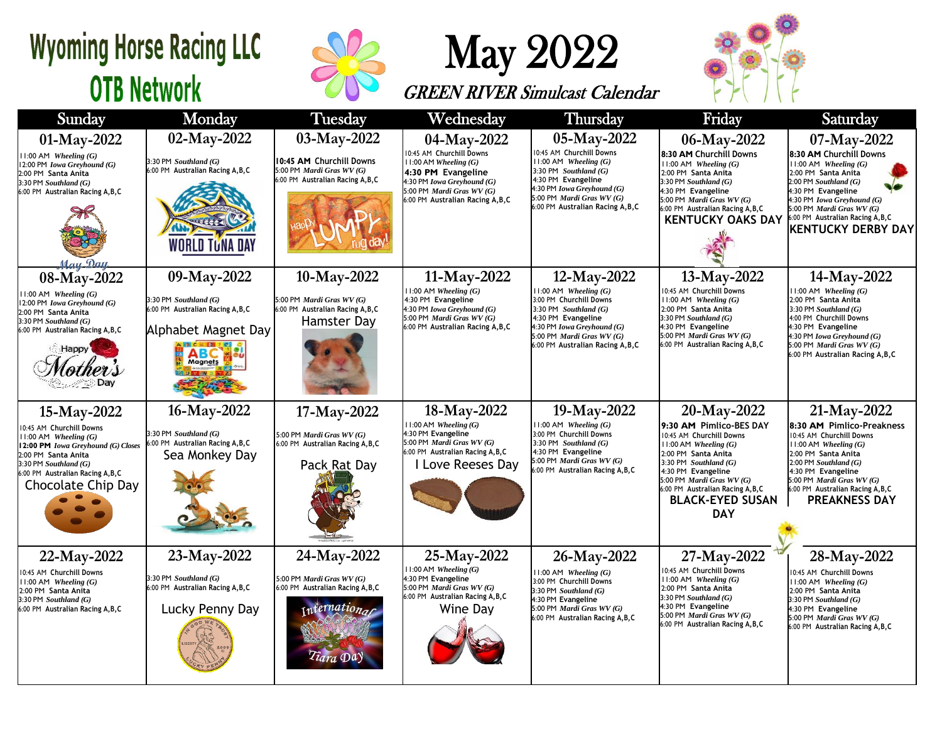## **Wyoming Horse Racing LLC OTB Network**





## GREEN RIVER Simulcast Calendar



| Sunday                                                                                                                                                                                                                   | <b>Monday</b>                                                                                                       | <b>Tuesday</b>                                                                                                   | Wednesday                                                                                                                                                                                  | <b>Thursday</b>                                                                                                                                                                                                         | Friday                                                                                                                                                                                                                                                                             | Saturday                                                                                                                                                                                                                                                                   |  |
|--------------------------------------------------------------------------------------------------------------------------------------------------------------------------------------------------------------------------|---------------------------------------------------------------------------------------------------------------------|------------------------------------------------------------------------------------------------------------------|--------------------------------------------------------------------------------------------------------------------------------------------------------------------------------------------|-------------------------------------------------------------------------------------------------------------------------------------------------------------------------------------------------------------------------|------------------------------------------------------------------------------------------------------------------------------------------------------------------------------------------------------------------------------------------------------------------------------------|----------------------------------------------------------------------------------------------------------------------------------------------------------------------------------------------------------------------------------------------------------------------------|--|
| 01-May-2022<br>$1:00$ AM Wheeling $(G)$<br>12:00 PM Iowa Greyhound (G)<br>2:00 PM Santa Anita<br>$3:30$ PM Southland $(G)$<br>6:00 PM Australian Racing A, B, C<br>Mau Dat                                               | 02-May-2022<br>3:30 PM Southland (G)<br>6:00 PM Australian Racing A, B, C<br>WORLD TUNA DAY                         | 03-May-2022<br>10:45 AM Churchill Downs<br>5:00 PM Mardi Gras WV (G)<br>6:00 PM Australian Racing A, B, C        | 04-May-2022<br>10:45 AM Churchill Downs<br>$11:00$ AM Wheeling $(G)$<br>4:30 PM Evangeline<br>4:30 PM Iowa Greyhound (G)<br>5:00 PM Mardi Gras WV (G)<br>6:00 PM Australian Racing A, B, C | 05-May-2022<br>10:45 AM Churchill Downs<br>$11:00$ AM Wheeling $(G)$<br>$3:30$ PM Southland $(G)$<br>4:30 PM Evangeline<br>4:30 PM Iowa Greyhound (G)<br>5:00 PM Mardi Gras WV (G)<br>6:00 PM Australian Racing A, B, C | 06-May-2022<br>8:30 AM Churchill Downs<br>11:00 AM Wheeling (G)<br>2:00 PM Santa Anita<br>$3:30$ PM Southland $(G)$<br>4:30 PM Evangeline<br>5:00 PM Mardi Gras WV (G)<br>6:00 PM Australian Racing A, B, C<br><b>KENTUCKY OAKS DAY</b>                                            | 07-May-2022<br>8:30 AM Churchill Downs<br>$11:00$ AM Wheeling $(G)$<br>2:00 PM Santa Anita<br>$2:00$ PM Southland $(G)$<br>4:30 PM Evangeline<br>4:30 PM Iowa Greyhound (G)<br>5:00 PM Mardi Gras WV (G)<br>6:00 PM Australian Racing A, B, C<br><b>KENTUCKY DERBY DAY</b> |  |
| 08-May-2022<br>$11:00$ AM Wheeling $(G)$<br>12:00 PM Iowa Greyhound (G)<br>2:00 PM Santa Anita<br>$3:30$ PM Southland $(G)$<br>6:00 PM Australian Racing A, B, C<br><b>Happy</b><br>್ದ <b>ಾ</b> Day                      | 09-May-2022<br>3:30 PM Southland (G)<br>6:00 PM Australian Racing A, B, C<br>Alphabet Magnet Day<br>AGC DEFE<br>ABC | 10-May-2022<br>5:00 PM Mardi Gras WV (G)<br>6:00 PM Australian Racing A, B, C<br>Hamster Day                     | 11-May-2022<br>$11:00$ AM Wheeling $(G)$<br>4:30 PM Evangeline<br>4:30 PM Iowa Greyhound (G)<br>5:00 PM Mardi Gras WV (G)<br>6:00 PM Australian Racing A, B, C                             | 12-May-2022<br>$11:00$ AM Wheeling $(G)$<br>3:00 PM Churchill Downs<br>3:30 PM Southland $(G)$<br>4:30 PM Evangeline<br>4:30 PM Iowa Greyhound (G)<br>5:00 PM Mardi Gras WV (G)<br>6:00 PM Australian Racing A, B, C    | 13-May-2022<br>0:45 AM Churchill Downs<br>$11:00$ AM Wheeling $(G)$<br>2:00 PM Santa Anita<br>$3:30$ PM Southland $(G)$<br>4:30 PM Evangeline<br>5:00 PM Mardi Gras WV (G)<br>6:00 PM Australian Racing A, B, C                                                                    | 14-May-2022<br>$11:00$ AM Wheeling $(G)$<br>2:00 PM Santa Anita<br>3:30 PM Southland $(G)$<br>4:00 PM Churchill Downs<br>4:30 PM Evangeline<br>4:30 PM Iowa Greyhound (G)<br>5:00 PM <i>Mardi Gras WV</i> $(G)$<br>6:00 PM Australian Racing A, B, C                       |  |
| 15-May-2022<br>10:45 AM Churchill Downs<br>$1:00$ AM Wheeling $(G)$<br>12:00 PM Iowa Greyhound (G) Closes<br>2:00 PM Santa Anita<br>$3:30$ PM Southland $(G)$<br>6:00 PM Australian Racing A, B, C<br>Chocolate Chip Day | 16-May-2022<br>3:30 PM Southland (G)<br>6:00 PM Australian Racing A, B, C<br>Sea Monkey Day                         | 17-May-2022<br>5:00 PM Mardi Gras WV (G)<br>6:00 PM Australian Racing A, B, C<br>Pack Rat Day                    | 18-May-2022<br>$11:00$ AM Wheeling $(G)$<br>4:30 PM Evangeline<br>5:00 PM Mardi Gras WV (G)<br>6:00 PM Australian Racing A, B, C<br><b>Love Reeses Day</b>                                 | 19-May-2022<br>$11:00$ AM Wheeling $(G)$<br>3:00 PM Churchill Downs<br>3:30 PM Southland $(G)$<br>4:30 PM Evangeline<br>5:00 PM Mardi Gras WV (G)<br>6:00 PM Australian Racing A, B, C                                  | 20-May-2022<br>9:30 AM Pimlico-BES DAY<br>10:45 AM Churchill Downs<br>$11:00$ AM Wheeling $(G)$<br>2:00 PM Santa Anita<br>3:30 PM Southland $(G)$<br>4:30 PM Evangeline<br>5:00 PM Mardi Gras WV (G)<br>6:00 PM Australian Racing A, B, C<br><b>BLACK-EYED SUSAN</b><br><b>DAY</b> | 21-May-2022<br>8:30 AM Pimlico-Preakness<br>10:45 AM Churchill Downs<br>$11:00$ AM Wheeling $(G)$<br>2:00 PM Santa Anita<br>$2:00$ PM Southland $(G)$<br>4:30 PM Evangeline<br>5:00 PM Mardi Gras WV (G)<br>6:00 PM Australian Racing A, B, C<br><b>PREAKNESS DAY</b>      |  |
| 22-May-2022<br>10:45 AM Churchill Downs<br>$11:00$ AM Wheeling $(G)$<br>2:00 PM Santa Anita<br>3:30 PM Southland (G)<br>6:00 PM Australian Racing A, B, C                                                                | 23-May-2022<br>3:30 PM Southland (G)<br>6:00 PM Australian Racing A, B, C<br>Lucky Penny Day                        | 24-May-2022<br>5:00 PM Mardi Gras WV (G)<br>6:00 PM Australian Racing A, B, C<br>ternational<br><i>Tiara</i> Day | 25-May-2022<br>$11:00$ AM Wheeling $(G)$<br>4:30 PM Evangeline<br>5:00 PM Mardi Gras WV (G)<br>6:00 PM Australian Racing A, B, C<br>Wine Day                                               | 26-May-2022<br>$11:00$ AM Wheeling $(G)$<br>3:00 PM Churchill Downs<br>$3:30$ PM Southland $(G)$<br>4:30 PM Evangeline<br>5:00 PM Mardi Gras WV (G)<br>6:00 PM Australian Racing A, B, C                                | 27-May-2022<br>0:45 AM Churchill Downs<br>11:00 AM Wheeling (G)<br>2:00 PM Santa Anita<br>$3:30$ PM Southland $(G)$<br>4:30 PM Evangeline<br>5:00 PM Mardi Gras WV (G)<br>6:00 PM Australian Racing A, B, C                                                                        | 28-May-2022<br>10:45 AM Churchill Downs<br>$11:00$ AM Wheeling $(G)$<br>2:00 PM Santa Anita<br>3:30 PM Southland (G)<br>4:30 PM Evangeline<br>5:00 PM Mardi Gras WV (G)<br>6:00 PM Australian Racing A, B, C                                                               |  |